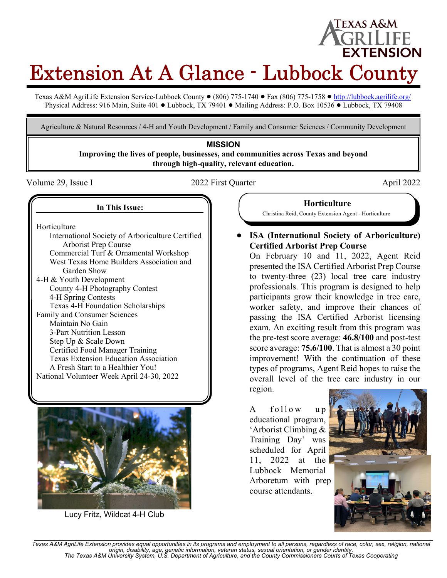# **EXTENSION** Extension At A Glance - Lubbock County

Texas A&M AgriLife Extension Service-Lubbock County  $\bullet$  (806) 775-1740  $\bullet$  Fax (806) 775-1758  $\bullet$  http://lubbock.agrilife.org/ Physical Address: 916 Main, Suite 401 . Lubbock, TX 79401 . Mailing Address: P.O. Box 10536 . Lubbock, TX 79408

Agriculture & Natural Resources / 4-H and Youth Development / Family and Consumer Sciences / Community Development

# **MISSION**

**Improving the lives of people, businesses, and communities across Texas and beyond through high-quality, relevant education.**

Volume 29, Issue I and the 2022 First Quarter April 2022 April 2022

Texas A&M

#### **In This Issue:**

Horticulture

International Society of Arboriculture Certified Arborist Prep Course Commercial Turf & Ornamental Workshop West Texas Home Builders Association and Garden Show 4-H & Youth Development County 4-H Photography Contest 4-H Spring Contests Texas 4-H Foundation Scholarships Family and Consumer Sciences Maintain No Gain 3-Part Nutrition Lesson Step Up & Scale Down Certified Food Manager Training Texas Extension Education Association A Fresh Start to a Healthier You! National Volunteer Week April 24-30, 2022



Lucy Fritz, Wildcat 4-H Club

**Horticulture** Christina Reid, County Extension Agent - Horticulture

! **ISA (International Society of Arboriculture) Certified Arborist Prep Course**

On February 10 and 11, 2022, Agent Reid presented the ISA Certified Arborist Prep Course to twenty-three (23) local tree care industry professionals. This program is designed to help participants grow their knowledge in tree care, worker safety, and improve their chances of passing the ISA Certified Arborist licensing exam. An exciting result from this program was the pre-test score average: **46.8/100** and post-test score average: **75.6/100**. That is almost a 30 point improvement! With the continuation of these types of programs, Agent Reid hopes to raise the overall level of the tree care industry in our region.

A follow up educational program, 'Arborist Climbing & Training Day' was scheduled for April 11, 2022 at the Lubbock Memorial Arboretum with prep course attendants.



*Texas A&M AgriLife Extension provides equal opportunities in its programs and employment to all persons, regardless of race, color, sex, religion, national origin, disability, age, genetic information, veteran status, sexual orientation, or gender identity. The Texas A&M University System, U.S. Department of Agriculture, and the County Commissioners Courts of Texas Cooperating*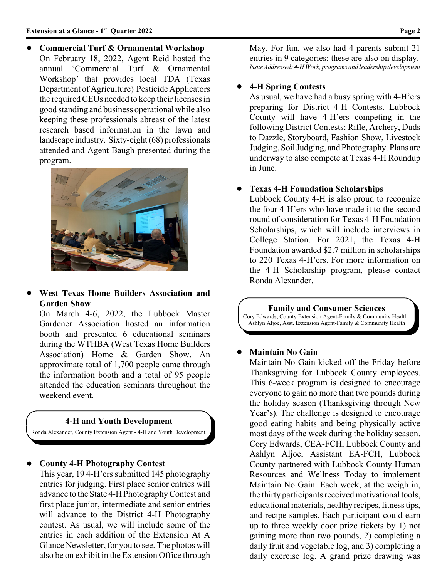! **Commercial Turf & Ornamental Workshop** On February 18, 2022, Agent Reid hosted the annual 'Commercial Turf & Ornamental Workshop' that provides local TDA (Texas Department of Agriculture) Pesticide Applicators the required CEUs needed to keep their licenses in good standing and business operational while also keeping these professionals abreast of the latest research based information in the lawn and landscape industry. Sixty-eight (68) professionals attended and Agent Baugh presented during the program.



! **West Texas Home Builders Association and Garden Show**

On March 4-6, 2022, the Lubbock Master Gardener Association hosted an information booth and presented 6 educational seminars during the WTHBA (West Texas Home Builders Association) Home & Garden Show. An approximate total of 1,700 people came through the information booth and a total of 95 people attended the education seminars throughout the weekend event.

#### **4-H and Youth Development**

Ronda Alexander, County Extension Agent - 4-H and Youth Development

#### ! **County 4-H Photography Contest**

This year, 19 4-H'ers submitted 145 photography entries for judging. First place senior entries will advance to the State 4-H Photography Contest and first place junior, intermediate and senior entries will advance to the District 4-H Photography contest. As usual, we will include some of the entries in each addition of the Extension At A Glance Newsletter, for you to see. The photos will also be on exhibit in the Extension Office through May. For fun, we also had 4 parents submit 21 entries in 9 categories; these are also on display. *Issue Addressed: 4-H Work, programs and leadership development*

#### ! **4-H Spring Contests**

As usual, we have had a busy spring with 4-H'ers preparing for District 4-H Contests. Lubbock County will have 4-H'ers competing in the following District Contests: Rifle, Archery, Duds to Dazzle, Storyboard, Fashion Show, Livestock Judging, Soil Judging, and Photography. Plans are underway to also compete at Texas 4-H Roundup in June.

#### ! **Texas 4-H Foundation Scholarships**

Lubbock County 4-H is also proud to recognize the four 4-H'ers who have made it to the second round of consideration for Texas 4-H Foundation Scholarships, which will include interviews in College Station. For 2021, the Texas 4-H Foundation awarded \$2.7 million in scholarships to 220 Texas 4-H'ers. For more information on the 4-H Scholarship program, please contact Ronda Alexander.

#### **Family and Consumer Sciences**

Cory Edwards, County Extension Agent-Family & Community Health Ashlyn Aljoe, Asst. Extension Agent-Family & Community Health

#### ! **Maintain No Gain**

Maintain No Gain kicked off the Friday before Thanksgiving for Lubbock County employees. This 6-week program is designed to encourage everyone to gain no more than two pounds during the holiday season (Thanksgiving through New Year's). The challenge is designed to encourage good eating habits and being physically active most days of the week during the holiday season. Cory Edwards, CEA-FCH, Lubbock County and Ashlyn Aljoe, Assistant EA-FCH, Lubbock County partnered with Lubbock County Human Resources and Wellness Today to implement Maintain No Gain. Each week, at the weigh in, the thirty participants received motivational tools, educational materials, healthy recipes, fitness tips, and recipe samples. Each participant could earn up to three weekly door prize tickets by 1) not gaining more than two pounds, 2) completing a daily fruit and vegetable log, and 3) completing a daily exercise log. A grand prize drawing was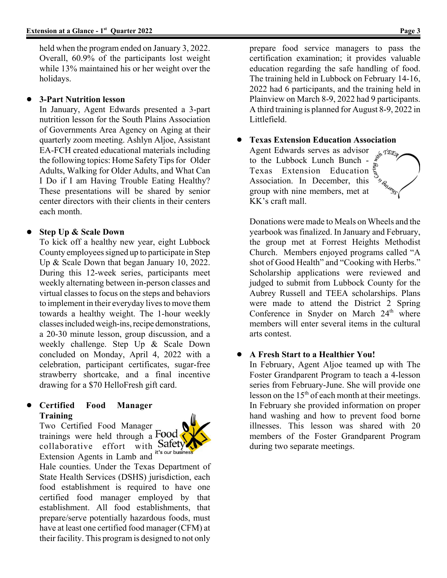held when the program ended on January 3, 2022. Overall, 60.9% of the participants lost weight while 13% maintained his or her weight over the holidays.

## ! **3-Part Nutrition lesson**

In January, Agent Edwards presented a 3-part nutrition lesson for the South Plains Association of Governments Area Agency on Aging at their quarterly zoom meeting. Ashlyn Aljoe, Assistant EA-FCH created educational materials including the following topics: Home Safety Tips for Older Adults, Walking for Older Adults, and What Can I Do if I am Having Trouble Eating Healthy? These presentations will be shared by senior center directors with their clients in their centers each month.

# ! **Step Up & Scale Down**

To kick off a healthy new year, eight Lubbock County employees signed up to participate in Step Up & Scale Down that began January 10, 2022. During this 12-week series, participants meet weekly alternating between in-person classes and virtual classes to focus on the steps and behaviors to implement in their everyday lives to move them towards a healthy weight. The 1-hour weekly classes included weigh-ins, recipe demonstrations, a 20-30 minute lesson, group discussion, and a weekly challenge. Step Up & Scale Down concluded on Monday, April 4, 2022 with a celebration, participant certificates, sugar-free strawberry shortcake, and a final incentive drawing for a \$70 HelloFresh gift card.

## ! **Certified Food Manager Training**

Two Certified Food Manager trainings were held through a Food collaborative effort with  $\text{Safety}$ Extension Agents in Lamb and



Hale counties. Under the Texas Department of State Health Services (DSHS) jurisdiction, each food establishment is required to have one certified food manager employed by that establishment. All food establishments, that prepare/serve potentially hazardous foods, must have at least one certified food manager (CFM) at their facility. This program is designed to not only

prepare food service managers to pass the certification examination; it provides valuable education regarding the safe handling of food. The training held in Lubbock on February 14-16, 2022 had 6 participants, and the training held in Plainview on March 8-9, 2022 had 9 participants. A third training is planned for August 8-9, 2022 in Littlefield.

! **Texas Extension Education Association**

Agent Edwards serves as advisor wh TEEP to the Lubbock Lunch Bunch - Texas Extension Education Association. In December, this group with nine members, met at KK's craft mall.

Donations were made to Meals on Wheels and the yearbook was finalized. In January and February, the group met at Forrest Heights Methodist Church. Members enjoyed programs called "A shot of Good Health" and "Cooking with Herbs." Scholarship applications were reviewed and judged to submit from Lubbock County for the Aubrey Russell and TEEA scholarships. Plans were made to attend the District 2 Spring Conference in Snyder on March 24<sup>th</sup> where members will enter several items in the cultural arts contest.

# ! **A Fresh Start to a Healthier You!**

In February, Agent Aljoe teamed up with The Foster Grandparent Program to teach a 4-lesson series from February-June. She will provide one lesson on the  $15<sup>th</sup>$  of each month at their meetings. In February she provided information on proper hand washing and how to prevent food borne illnesses. This lesson was shared with 20 members of the Foster Grandparent Program during two separate meetings.